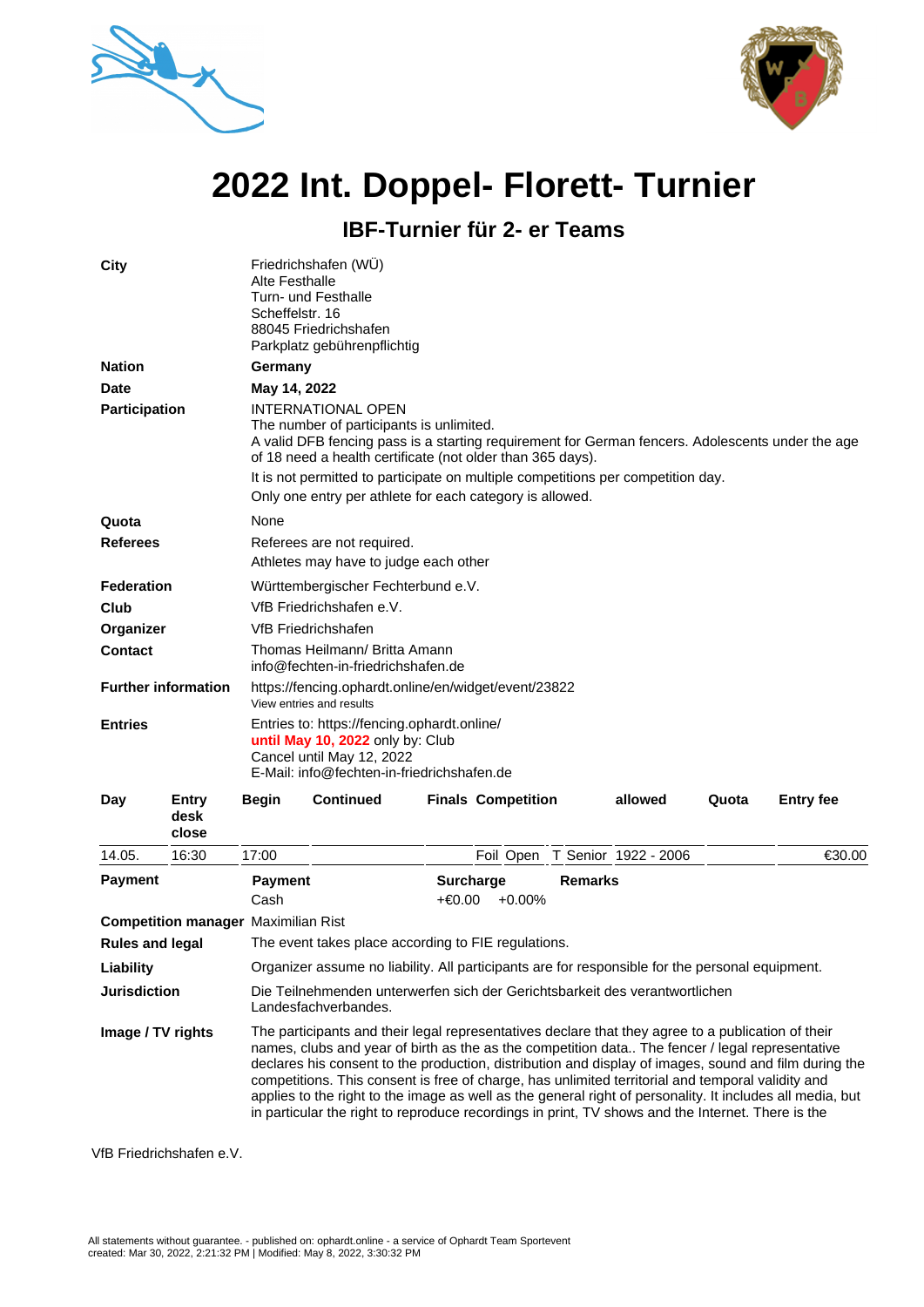



## **2022 Int. Doppel- Florett- Turnier**

**IBF-Turnier für 2- er Teams**

| City                       |               | Alte Festhalle<br>Scheffelstr. 16                                                                                                                                                                                                                                                                                                                                                       | Friedrichshafen (WU)<br>Turn- und Festhalle<br>88045 Friedrichshafen<br>Parkplatz gebührenpflichtig |  |                           |         |       |                  |  |  |
|----------------------------|---------------|-----------------------------------------------------------------------------------------------------------------------------------------------------------------------------------------------------------------------------------------------------------------------------------------------------------------------------------------------------------------------------------------|-----------------------------------------------------------------------------------------------------|--|---------------------------|---------|-------|------------------|--|--|
| <b>Nation</b>              |               | Germany                                                                                                                                                                                                                                                                                                                                                                                 |                                                                                                     |  |                           |         |       |                  |  |  |
| <b>Date</b>                |               | May 14, 2022                                                                                                                                                                                                                                                                                                                                                                            |                                                                                                     |  |                           |         |       |                  |  |  |
| <b>Participation</b>       |               | <b>INTERNATIONAL OPEN</b><br>The number of participants is unlimited.<br>A valid DFB fencing pass is a starting requirement for German fencers. Adolescents under the age<br>of 18 need a health certificate (not older than 365 days).<br>It is not permitted to participate on multiple competitions per competition day.<br>Only one entry per athlete for each category is allowed. |                                                                                                     |  |                           |         |       |                  |  |  |
| Quota                      |               | None                                                                                                                                                                                                                                                                                                                                                                                    |                                                                                                     |  |                           |         |       |                  |  |  |
| <b>Referees</b>            |               | Referees are not required.<br>Athletes may have to judge each other                                                                                                                                                                                                                                                                                                                     |                                                                                                     |  |                           |         |       |                  |  |  |
| Federation                 |               | Württembergischer Fechterbund e.V.                                                                                                                                                                                                                                                                                                                                                      |                                                                                                     |  |                           |         |       |                  |  |  |
| Club                       |               | VfB Friedrichshafen e.V.                                                                                                                                                                                                                                                                                                                                                                |                                                                                                     |  |                           |         |       |                  |  |  |
| Organizer                  |               | VfB Friedrichshafen                                                                                                                                                                                                                                                                                                                                                                     |                                                                                                     |  |                           |         |       |                  |  |  |
| <b>Contact</b>             |               | Thomas Heilmann/ Britta Amann<br>info@fechten-in-friedrichshafen.de                                                                                                                                                                                                                                                                                                                     |                                                                                                     |  |                           |         |       |                  |  |  |
| <b>Further information</b> |               | https://fencing.ophardt.online/en/widget/event/23822<br>View entries and results                                                                                                                                                                                                                                                                                                        |                                                                                                     |  |                           |         |       |                  |  |  |
| <b>Entries</b>             |               | Entries to: https://fencing.ophardt.online/<br>until May 10, 2022 only by: Club<br>Cancel until May 12, 2022<br>E-Mail: info@fechten-in-friedrichshafen.de                                                                                                                                                                                                                              |                                                                                                     |  |                           |         |       |                  |  |  |
| Day                        | Entry<br>desk | <b>Begin</b>                                                                                                                                                                                                                                                                                                                                                                            | <b>Continued</b>                                                                                    |  | <b>Finals Competition</b> | allowed | Quota | <b>Entry fee</b> |  |  |

|                        | desk<br>close              |                                                                                                                                                                                                                                                                                                                                                                                                                                                                                                                                                                                                                                       |                     |                      |        |  |  |  |  |
|------------------------|----------------------------|---------------------------------------------------------------------------------------------------------------------------------------------------------------------------------------------------------------------------------------------------------------------------------------------------------------------------------------------------------------------------------------------------------------------------------------------------------------------------------------------------------------------------------------------------------------------------------------------------------------------------------------|---------------------|----------------------|--------|--|--|--|--|
| 14.05.                 | 16:30                      | 17:00                                                                                                                                                                                                                                                                                                                                                                                                                                                                                                                                                                                                                                 | Foil Open           | T Senior 1922 - 2006 | €30.00 |  |  |  |  |
| <b>Payment</b>         |                            | <b>Payment</b>                                                                                                                                                                                                                                                                                                                                                                                                                                                                                                                                                                                                                        | <b>Surcharge</b>    | <b>Remarks</b>       |        |  |  |  |  |
|                        |                            | Cash                                                                                                                                                                                                                                                                                                                                                                                                                                                                                                                                                                                                                                  | +€0.00<br>$+0.00\%$ |                      |        |  |  |  |  |
|                        | <b>Competition manager</b> | Maximilian Rist                                                                                                                                                                                                                                                                                                                                                                                                                                                                                                                                                                                                                       |                     |                      |        |  |  |  |  |
| <b>Rules and legal</b> |                            | The event takes place according to FIE regulations.                                                                                                                                                                                                                                                                                                                                                                                                                                                                                                                                                                                   |                     |                      |        |  |  |  |  |
| Liability              |                            | Organizer assume no liability. All participants are for responsible for the personal equipment.                                                                                                                                                                                                                                                                                                                                                                                                                                                                                                                                       |                     |                      |        |  |  |  |  |
| <b>Jurisdiction</b>    |                            | Die Teilnehmenden unterwerfen sich der Gerichtsbarkeit des verantwortlichen<br>Landesfachverbandes.                                                                                                                                                                                                                                                                                                                                                                                                                                                                                                                                   |                     |                      |        |  |  |  |  |
| Image / TV rights      |                            | The participants and their legal representatives declare that they agree to a publication of their<br>names, clubs and year of birth as the as the competition data The fencer / legal representative<br>declares his consent to the production, distribution and display of images, sound and film during the<br>competitions. This consent is free of charge, has unlimited territorial and temporal validity and<br>applies to the right to the image as well as the general right of personality. It includes all media, but<br>in particular the right to reproduce recordings in print. TV shows and the Internet. There is the |                     |                      |        |  |  |  |  |

VfB Friedrichshafen e.V.